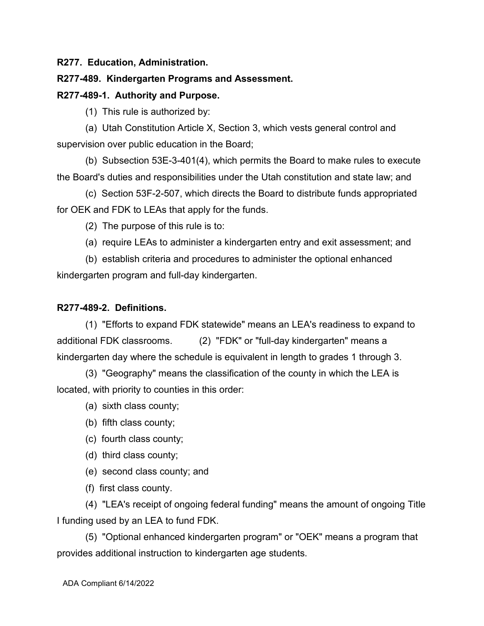**R277. Education, Administration.**

# **R277-489. Kindergarten Programs and Assessment.**

# **R277-489-1. Authority and Purpose.**

(1) This rule is authorized by:

(a) Utah Constitution Article X, Section 3, which vests general control and supervision over public education in the Board;

(b) Subsection 53E-3-401(4), which permits the Board to make rules to execute the Board's duties and responsibilities under the Utah constitution and state law; and

(c) Section 53F-2-507, which directs the Board to distribute funds appropriated for OEK and FDK to LEAs that apply for the funds.

(2) The purpose of this rule is to:

(a) require LEAs to administer a kindergarten entry and exit assessment; and

(b) establish criteria and procedures to administer the optional enhanced kindergarten program and full-day kindergarten.

# **R277-489-2. Definitions.**

(1) "Efforts to expand FDK statewide" means an LEA's readiness to expand to additional FDK classrooms. (2) "FDK" or "full-day kindergarten" means a kindergarten day where the schedule is equivalent in length to grades 1 through 3.

(3) "Geography" means the classification of the county in which the LEA is located, with priority to counties in this order:

(a) sixth class county;

(b) fifth class county;

- (c) fourth class county;
- (d) third class county;
- (e) second class county; and
- (f) first class county.

(4) "LEA's receipt of ongoing federal funding" means the amount of ongoing Title I funding used by an LEA to fund FDK.

(5) "Optional enhanced kindergarten program" or "OEK" means a program that provides additional instruction to kindergarten age students.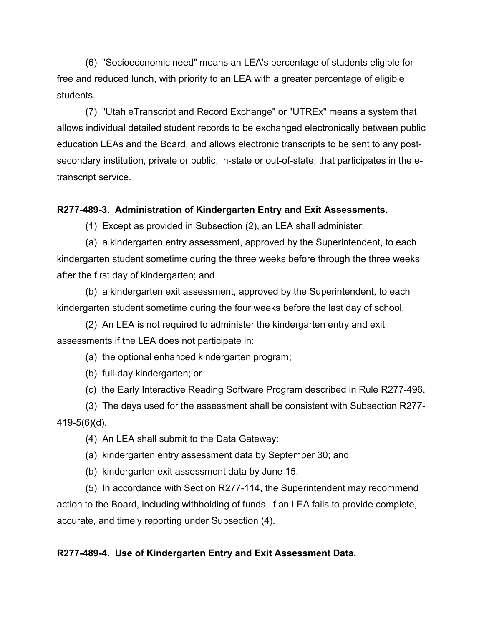(6) "Socioeconomic need" means an LEA's percentage of students eligible for free and reduced lunch, with priority to an LEA with a greater percentage of eligible students.

(7) "Utah eTranscript and Record Exchange" or "UTREx" means a system that allows individual detailed student records to be exchanged electronically between public education LEAs and the Board, and allows electronic transcripts to be sent to any postsecondary institution, private or public, in-state or out-of-state, that participates in the etranscript service.

### **R277-489-3. Administration of Kindergarten Entry and Exit Assessments.**

(1) Except as provided in Subsection (2), an LEA shall administer:

(a) a kindergarten entry assessment, approved by the Superintendent, to each kindergarten student sometime during the three weeks before through the three weeks after the first day of kindergarten; and

(b) a kindergarten exit assessment, approved by the Superintendent, to each kindergarten student sometime during the four weeks before the last day of school.

(2) An LEA is not required to administer the kindergarten entry and exit assessments if the LEA does not participate in:

(a) the optional enhanced kindergarten program;

(b) full-day kindergarten; or

(c) the Early Interactive Reading Software Program described in Rule R277-496.

(3) The days used for the assessment shall be consistent with Subsection R277- 419-5(6)(d).

(4) An LEA shall submit to the Data Gateway:

(a) kindergarten entry assessment data by September 30; and

(b) kindergarten exit assessment data by June 15.

(5) In accordance with Section R277-114, the Superintendent may recommend action to the Board, including withholding of funds, if an LEA fails to provide complete, accurate, and timely reporting under Subsection (4).

#### **R277-489-4. Use of Kindergarten Entry and Exit Assessment Data.**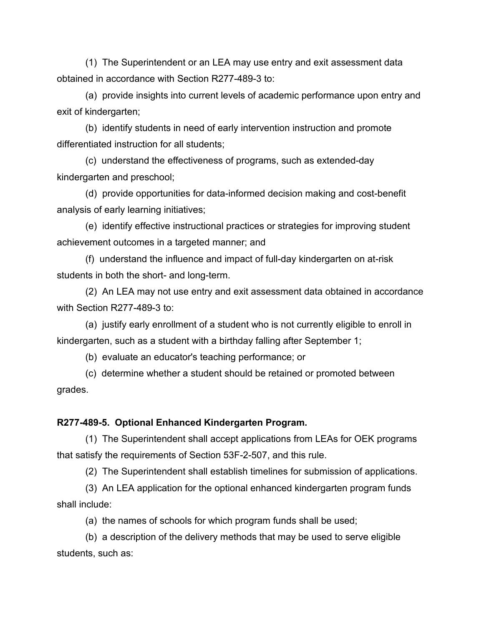(1) The Superintendent or an LEA may use entry and exit assessment data obtained in accordance with Section R277-489-3 to:

(a) provide insights into current levels of academic performance upon entry and exit of kindergarten;

(b) identify students in need of early intervention instruction and promote differentiated instruction for all students;

(c) understand the effectiveness of programs, such as extended-day kindergarten and preschool;

(d) provide opportunities for data-informed decision making and cost-benefit analysis of early learning initiatives;

(e) identify effective instructional practices or strategies for improving student achievement outcomes in a targeted manner; and

(f) understand the influence and impact of full-day kindergarten on at-risk students in both the short- and long-term.

(2) An LEA may not use entry and exit assessment data obtained in accordance with Section R277-489-3 to:

(a) justify early enrollment of a student who is not currently eligible to enroll in kindergarten, such as a student with a birthday falling after September 1;

(b) evaluate an educator's teaching performance; or

(c) determine whether a student should be retained or promoted between grades.

### **R277-489-5. Optional Enhanced Kindergarten Program.**

(1) The Superintendent shall accept applications from LEAs for OEK programs that satisfy the requirements of Section 53F-2-507, and this rule.

(2) The Superintendent shall establish timelines for submission of applications.

(3) An LEA application for the optional enhanced kindergarten program funds shall include:

(a) the names of schools for which program funds shall be used;

(b) a description of the delivery methods that may be used to serve eligible students, such as: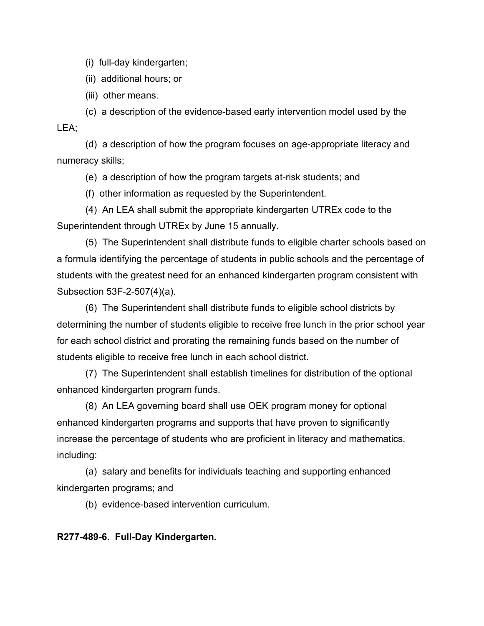(i) full-day kindergarten;

(ii) additional hours; or

(iii) other means.

(c) a description of the evidence-based early intervention model used by the LEA:

(d) a description of how the program focuses on age-appropriate literacy and numeracy skills;

(e) a description of how the program targets at-risk students; and

(f) other information as requested by the Superintendent.

(4) An LEA shall submit the appropriate kindergarten UTREx code to the Superintendent through UTREx by June 15 annually.

(5) The Superintendent shall distribute funds to eligible charter schools based on a formula identifying the percentage of students in public schools and the percentage of students with the greatest need for an enhanced kindergarten program consistent with Subsection 53F-2-507(4)(a).

(6) The Superintendent shall distribute funds to eligible school districts by determining the number of students eligible to receive free lunch in the prior school year for each school district and prorating the remaining funds based on the number of students eligible to receive free lunch in each school district.

(7) The Superintendent shall establish timelines for distribution of the optional enhanced kindergarten program funds.

(8) An LEA governing board shall use OEK program money for optional enhanced kindergarten programs and supports that have proven to significantly increase the percentage of students who are proficient in literacy and mathematics, including:

(a) salary and benefits for individuals teaching and supporting enhanced kindergarten programs; and

(b) evidence-based intervention curriculum.

**R277-489-6. Full-Day Kindergarten.**